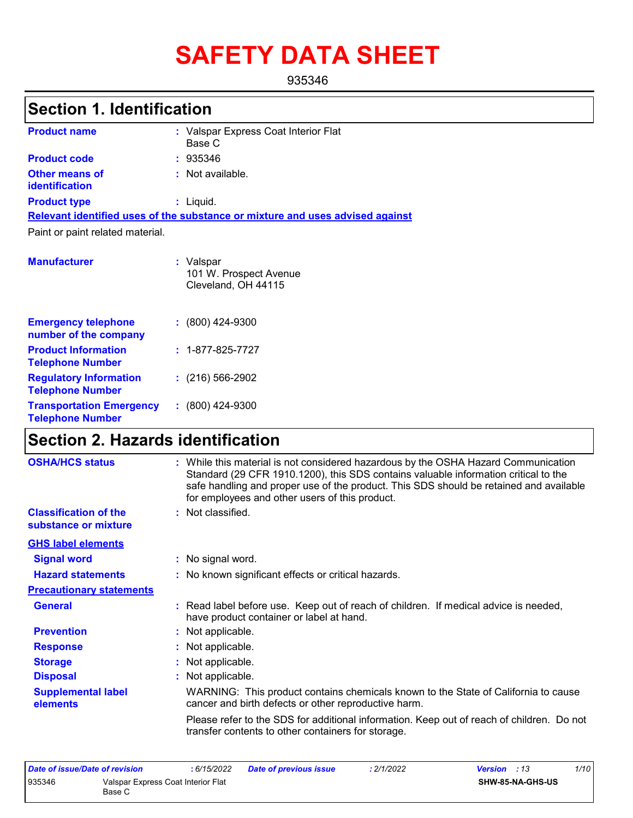# **SAFETY DATA SHEET**

935346

# **Section 1. Identification**

| <b>Product name</b>                            | : Valspar Express Coat Interior Flat<br>Base C                                |
|------------------------------------------------|-------------------------------------------------------------------------------|
| <b>Product code</b>                            | : 935346                                                                      |
| <b>Other means of</b><br><b>identification</b> | : Not available.                                                              |
| <b>Product type</b>                            | $:$ Liquid.                                                                   |
|                                                | Relevant identified uses of the substance or mixture and uses advised against |
| Paint or paint related material.               |                                                                               |
| <b>Manufacturer</b>                            | : Valspar<br>101 W. Prospect Avenue<br>Cleveland, OH 44115                    |

| <b>Emergency telephone</b><br>number of the company        | $: (800)$ 424-9300       |
|------------------------------------------------------------|--------------------------|
| <b>Product Information</b><br><b>Telephone Number</b>      | $: 1 - 877 - 825 - 7727$ |
| <b>Regulatory Information</b><br><b>Telephone Number</b>   | $(216)$ 566-2902         |
| <b>Transportation Emergency</b><br><b>Telephone Number</b> | $: (800)$ 424-9300       |

# **Section 2. Hazards identification**

| <b>OSHA/HCS status</b>                               | : While this material is not considered hazardous by the OSHA Hazard Communication<br>Standard (29 CFR 1910.1200), this SDS contains valuable information critical to the<br>safe handling and proper use of the product. This SDS should be retained and available<br>for employees and other users of this product. |  |  |
|------------------------------------------------------|-----------------------------------------------------------------------------------------------------------------------------------------------------------------------------------------------------------------------------------------------------------------------------------------------------------------------|--|--|
| <b>Classification of the</b><br>substance or mixture | : Not classified.                                                                                                                                                                                                                                                                                                     |  |  |
| <b>GHS label elements</b>                            |                                                                                                                                                                                                                                                                                                                       |  |  |
| <b>Signal word</b>                                   | : No signal word.                                                                                                                                                                                                                                                                                                     |  |  |
| <b>Hazard statements</b>                             | : No known significant effects or critical hazards.                                                                                                                                                                                                                                                                   |  |  |
| <b>Precautionary statements</b>                      |                                                                                                                                                                                                                                                                                                                       |  |  |
| <b>General</b>                                       | : Read label before use. Keep out of reach of children. If medical advice is needed,<br>have product container or label at hand.                                                                                                                                                                                      |  |  |
| <b>Prevention</b>                                    | : Not applicable.                                                                                                                                                                                                                                                                                                     |  |  |
| <b>Response</b>                                      | : Not applicable.                                                                                                                                                                                                                                                                                                     |  |  |
| <b>Storage</b>                                       | : Not applicable.                                                                                                                                                                                                                                                                                                     |  |  |
| <b>Disposal</b>                                      | : Not applicable.                                                                                                                                                                                                                                                                                                     |  |  |
| <b>Supplemental label</b><br>elements                | WARNING: This product contains chemicals known to the State of California to cause<br>cancer and birth defects or other reproductive harm.                                                                                                                                                                            |  |  |
|                                                      | Please refer to the SDS for additional information. Keep out of reach of children. Do not<br>transfer contents to other containers for storage.                                                                                                                                                                       |  |  |

| Date of issue/Date of revision |                                              | : 6/15/2022 | <b>Date of previous issue</b> | : 2/1/2022 | <b>Version</b> : 13     | 1/10 |
|--------------------------------|----------------------------------------------|-------------|-------------------------------|------------|-------------------------|------|
| 935346                         | Valspar Express Coat Interior Flat<br>Base C |             |                               |            | <b>SHW-85-NA-GHS-US</b> |      |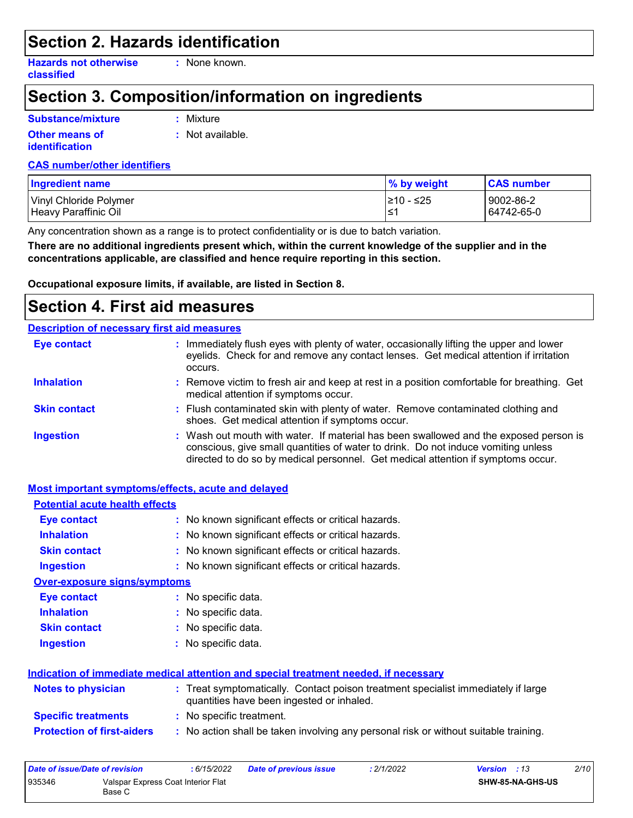### **Section 2. Hazards identification**

**Hazards not otherwise classified**

**:** None known.

### **Section 3. Composition/information on ingredients**

### **Substance/mixture**

**Other means of identification**

**:** Mixture

**:** Not available.

#### **CAS number/other identifiers**

| <b>Ingredient name</b> | % by weight | <b>CAS number</b> |
|------------------------|-------------|-------------------|
| Vinyl Chloride Polymer | 1≥10 - ≤25  | 9002-86-2         |
| Heavy Paraffinic Oil   | ≀≤1         | 64742-65-0        |

Any concentration shown as a range is to protect confidentiality or is due to batch variation.

**There are no additional ingredients present which, within the current knowledge of the supplier and in the concentrations applicable, are classified and hence require reporting in this section.**

**Occupational exposure limits, if available, are listed in Section 8.**

### **Section 4. First aid measures**

#### **Description of necessary first aid measures**

| <b>Eye contact</b>  | : Immediately flush eyes with plenty of water, occasionally lifting the upper and lower<br>eyelids. Check for and remove any contact lenses. Get medical attention if irritation<br>occurs.                                                                    |
|---------------------|----------------------------------------------------------------------------------------------------------------------------------------------------------------------------------------------------------------------------------------------------------------|
| <b>Inhalation</b>   | : Remove victim to fresh air and keep at rest in a position comfortable for breathing. Get<br>medical attention if symptoms occur.                                                                                                                             |
| <b>Skin contact</b> | : Flush contaminated skin with plenty of water. Remove contaminated clothing and<br>shoes. Get medical attention if symptoms occur.                                                                                                                            |
| <b>Ingestion</b>    | : Wash out mouth with water. If material has been swallowed and the exposed person is<br>conscious, give small quantities of water to drink. Do not induce vomiting unless<br>directed to do so by medical personnel. Get medical attention if symptoms occur. |

#### **Most important symptoms/effects, acute and delayed**

| <b>Potential acute health effects</b> |                                                                                                                                |  |  |
|---------------------------------------|--------------------------------------------------------------------------------------------------------------------------------|--|--|
| Eye contact                           | : No known significant effects or critical hazards.                                                                            |  |  |
| <b>Inhalation</b>                     | : No known significant effects or critical hazards.                                                                            |  |  |
| <b>Skin contact</b>                   | : No known significant effects or critical hazards.                                                                            |  |  |
| <b>Ingestion</b>                      | : No known significant effects or critical hazards.                                                                            |  |  |
| <b>Over-exposure signs/symptoms</b>   |                                                                                                                                |  |  |
| Eye contact                           | : No specific data.                                                                                                            |  |  |
| <b>Inhalation</b>                     | : No specific data.                                                                                                            |  |  |
| <b>Skin contact</b>                   | : No specific data.                                                                                                            |  |  |
| <b>Ingestion</b>                      | : No specific data.                                                                                                            |  |  |
|                                       | Indication of immediate medical attention and special treatment needed, if necessary                                           |  |  |
| <b>Notes to physician</b>             | : Treat symptomatically. Contact poison treatment specialist immediately if large<br>quantities have been ingested or inhaled. |  |  |
| <b>Specific treatments</b>            | : No specific treatment.                                                                                                       |  |  |
| <b>Protection of first-aiders</b>     | : No action shall be taken involving any personal risk or without suitable training.                                           |  |  |

| Date of issue/Date of revision |                                              | 6/15/2022 | Date of previous issue | : 2/1/2022 | <b>Version</b> : 13 |                  | 2/10 |
|--------------------------------|----------------------------------------------|-----------|------------------------|------------|---------------------|------------------|------|
| 935346                         | Valspar Express Coat Interior Flat<br>Base C |           |                        |            |                     | SHW-85-NA-GHS-US |      |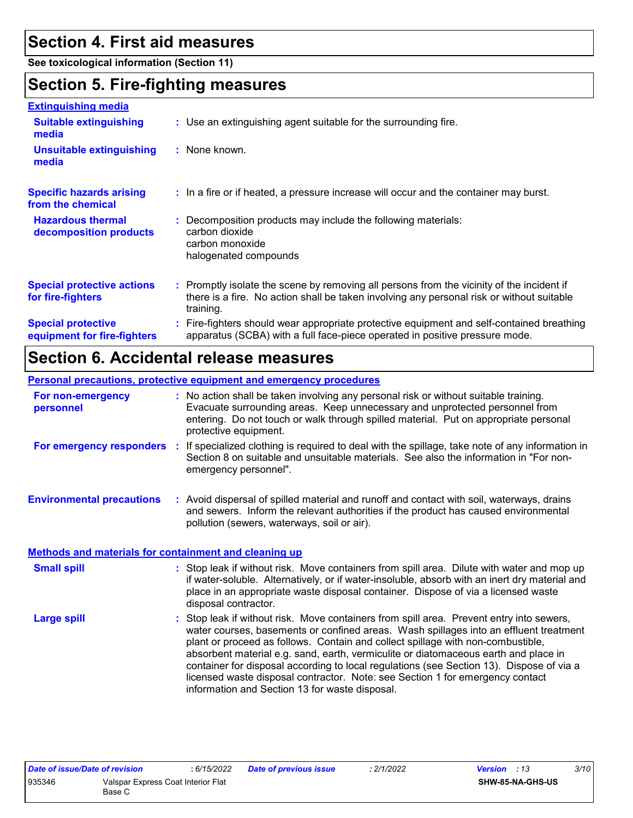### **Section 4. First aid measures**

**See toxicological information (Section 11)**

### **Section 5. Fire-fighting measures**

| <b>Extinguishing media</b>                               |                                                                                                                                                                                                     |
|----------------------------------------------------------|-----------------------------------------------------------------------------------------------------------------------------------------------------------------------------------------------------|
| <b>Suitable extinguishing</b><br>media                   | : Use an extinguishing agent suitable for the surrounding fire.                                                                                                                                     |
| Unsuitable extinguishing<br>media                        | $:$ None known.                                                                                                                                                                                     |
| <b>Specific hazards arising</b><br>from the chemical     | : In a fire or if heated, a pressure increase will occur and the container may burst.                                                                                                               |
| <b>Hazardous thermal</b><br>decomposition products       | Decomposition products may include the following materials:<br>carbon dioxide<br>carbon monoxide<br>halogenated compounds                                                                           |
| <b>Special protective actions</b><br>for fire-fighters   | : Promptly isolate the scene by removing all persons from the vicinity of the incident if<br>there is a fire. No action shall be taken involving any personal risk or without suitable<br>training. |
| <b>Special protective</b><br>equipment for fire-fighters | : Fire-fighters should wear appropriate protective equipment and self-contained breathing<br>apparatus (SCBA) with a full face-piece operated in positive pressure mode.                            |

### **Section 6. Accidental release measures**

#### **Personal precautions, protective equipment and emergency procedures**

| For non-emergency<br>personnel                               | : No action shall be taken involving any personal risk or without suitable training.<br>Evacuate surrounding areas. Keep unnecessary and unprotected personnel from<br>entering. Do not touch or walk through spilled material. Put on appropriate personal<br>protective equipment.                     |  |
|--------------------------------------------------------------|----------------------------------------------------------------------------------------------------------------------------------------------------------------------------------------------------------------------------------------------------------------------------------------------------------|--|
| For emergency responders                                     | : If specialized clothing is required to deal with the spillage, take note of any information in<br>Section 8 on suitable and unsuitable materials. See also the information in "For non-<br>emergency personnel".                                                                                       |  |
| <b>Environmental precautions</b>                             | : Avoid dispersal of spilled material and runoff and contact with soil, waterways, drains<br>and sewers. Inform the relevant authorities if the product has caused environmental<br>pollution (sewers, waterways, soil or air).                                                                          |  |
| <b>Methods and materials for containment and cleaning up</b> |                                                                                                                                                                                                                                                                                                          |  |
| <b>Small spill</b>                                           | : Stop leak if without risk. Move containers from spill area. Dilute with water and mop up<br>if water-soluble. Alternatively, or if water-insoluble, absorb with an inert dry material and<br>place in an appropriate waste disposal container. Dispose of via a licensed waste<br>disposal contractor. |  |

Stop leak if without risk. Move containers from spill area. Prevent entry into sewers, water courses, basements or confined areas. Wash spillages into an effluent treatment plant or proceed as follows. Contain and collect spillage with non-combustible, absorbent material e.g. sand, earth, vermiculite or diatomaceous earth and place in container for disposal according to local regulations (see Section 13). Dispose of via a licensed waste disposal contractor. Note: see Section 1 for emergency contact information and Section 13 for waste disposal. **Large spill :**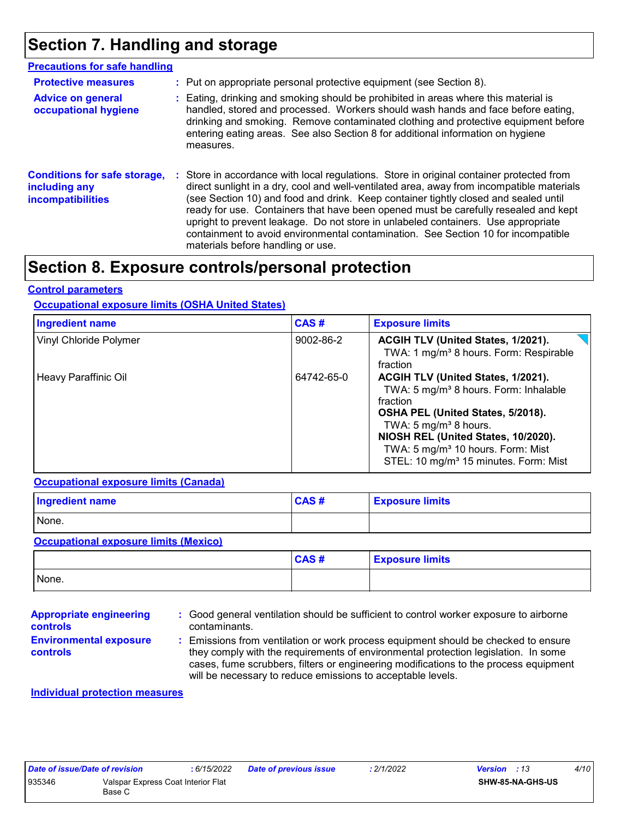### **Section 7. Handling and storage**

| <b>Precautions for safe handling</b>                                      |                                                                                                                                                                                                                                                                                                                                                                                                                                                                                                                                                                                    |
|---------------------------------------------------------------------------|------------------------------------------------------------------------------------------------------------------------------------------------------------------------------------------------------------------------------------------------------------------------------------------------------------------------------------------------------------------------------------------------------------------------------------------------------------------------------------------------------------------------------------------------------------------------------------|
| <b>Protective measures</b>                                                | : Put on appropriate personal protective equipment (see Section 8).                                                                                                                                                                                                                                                                                                                                                                                                                                                                                                                |
| <b>Advice on general</b><br>occupational hygiene                          | : Eating, drinking and smoking should be prohibited in areas where this material is<br>handled, stored and processed. Workers should wash hands and face before eating,<br>drinking and smoking. Remove contaminated clothing and protective equipment before<br>entering eating areas. See also Section 8 for additional information on hygiene<br>measures.                                                                                                                                                                                                                      |
| <b>Conditions for safe storage,</b><br>including any<br>incompatibilities | : Store in accordance with local regulations. Store in original container protected from<br>direct sunlight in a dry, cool and well-ventilated area, away from incompatible materials<br>(see Section 10) and food and drink. Keep container tightly closed and sealed until<br>ready for use. Containers that have been opened must be carefully resealed and kept<br>upright to prevent leakage. Do not store in unlabeled containers. Use appropriate<br>containment to avoid environmental contamination. See Section 10 for incompatible<br>materials before handling or use. |

### **Section 8. Exposure controls/personal protection**

#### **Control parameters**

#### **Occupational exposure limits (OSHA United States)**

| <b>Ingredient name</b> | CAS#       | <b>Exposure limits</b>                                                                                                                                                                                                                                                                                                     |
|------------------------|------------|----------------------------------------------------------------------------------------------------------------------------------------------------------------------------------------------------------------------------------------------------------------------------------------------------------------------------|
| Vinyl Chloride Polymer | 9002-86-2  | ACGIH TLV (United States, 1/2021).<br>TWA: 1 mg/m <sup>3</sup> 8 hours. Form: Respirable<br>fraction                                                                                                                                                                                                                       |
| Heavy Paraffinic Oil   | 64742-65-0 | ACGIH TLV (United States, 1/2021).<br>TWA: 5 mg/m <sup>3</sup> 8 hours. Form: Inhalable<br>fraction<br>OSHA PEL (United States, 5/2018).<br>TWA: 5 mg/m <sup>3</sup> 8 hours.<br>NIOSH REL (United States, 10/2020).<br>TWA: 5 mg/m <sup>3</sup> 10 hours. Form: Mist<br>STEL: 10 mg/m <sup>3</sup> 15 minutes. Form: Mist |

#### **Occupational exposure limits (Canada)**

| <b>Ingredient name</b> | CAS# | <b>Exposure limits</b> |
|------------------------|------|------------------------|
| None.                  |      |                        |

#### **Occupational exposure limits (Mexico)**

|       | CAS# | <b>Exposure limits</b> |
|-------|------|------------------------|
| None. |      |                        |

| <b>Appropriate engineering</b>                   | : Good general ventilation should be sufficient to control worker exposure to airborne                                                                                                                                                                                                                                          |
|--------------------------------------------------|---------------------------------------------------------------------------------------------------------------------------------------------------------------------------------------------------------------------------------------------------------------------------------------------------------------------------------|
| <b>controls</b>                                  | contaminants.                                                                                                                                                                                                                                                                                                                   |
| <b>Environmental exposure</b><br><b>controls</b> | : Emissions from ventilation or work process equipment should be checked to ensure<br>they comply with the requirements of environmental protection legislation. In some<br>cases, fume scrubbers, filters or engineering modifications to the process equipment<br>will be necessary to reduce emissions to acceptable levels. |

#### **Individual protection measures**

|        | Date of issue/Date of revision     | 6/15/2022 | Date of previous issue | 2/1/2022 | <b>Version</b> : 13 | 4/10 |
|--------|------------------------------------|-----------|------------------------|----------|---------------------|------|
| 935346 | Valspar Express Coat Interior Flat |           |                        |          | SHW-85-NA-GHS-US    |      |
|        | Base C                             |           |                        |          |                     |      |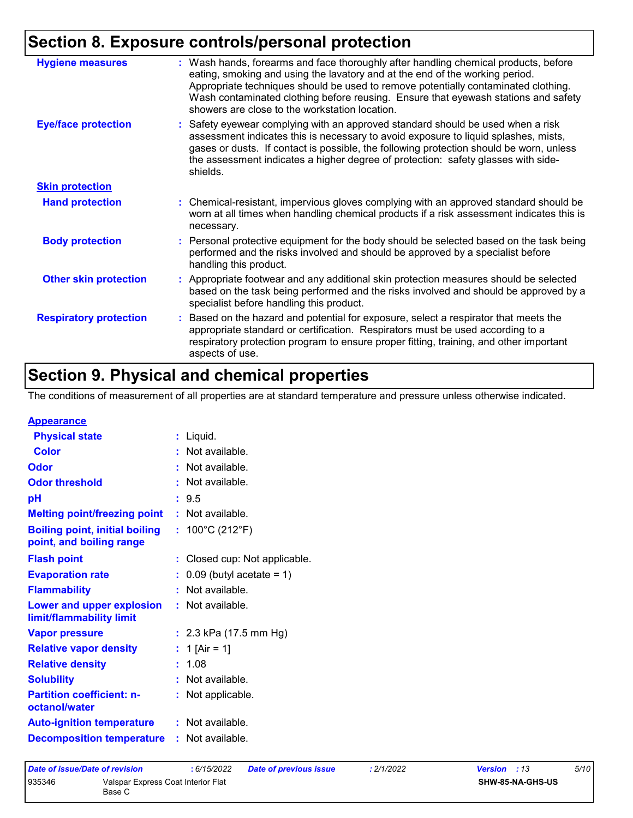# **Section 8. Exposure controls/personal protection**

| <b>Hygiene measures</b>       | : Wash hands, forearms and face thoroughly after handling chemical products, before<br>eating, smoking and using the lavatory and at the end of the working period.<br>Appropriate techniques should be used to remove potentially contaminated clothing.<br>Wash contaminated clothing before reusing. Ensure that eyewash stations and safety<br>showers are close to the workstation location. |
|-------------------------------|---------------------------------------------------------------------------------------------------------------------------------------------------------------------------------------------------------------------------------------------------------------------------------------------------------------------------------------------------------------------------------------------------|
| <b>Eye/face protection</b>    | : Safety eyewear complying with an approved standard should be used when a risk<br>assessment indicates this is necessary to avoid exposure to liquid splashes, mists,<br>gases or dusts. If contact is possible, the following protection should be worn, unless<br>the assessment indicates a higher degree of protection: safety glasses with side-<br>shields.                                |
| <b>Skin protection</b>        |                                                                                                                                                                                                                                                                                                                                                                                                   |
| <b>Hand protection</b>        | : Chemical-resistant, impervious gloves complying with an approved standard should be<br>worn at all times when handling chemical products if a risk assessment indicates this is<br>necessary.                                                                                                                                                                                                   |
| <b>Body protection</b>        | Personal protective equipment for the body should be selected based on the task being<br>performed and the risks involved and should be approved by a specialist before<br>handling this product.                                                                                                                                                                                                 |
| <b>Other skin protection</b>  | : Appropriate footwear and any additional skin protection measures should be selected<br>based on the task being performed and the risks involved and should be approved by a<br>specialist before handling this product.                                                                                                                                                                         |
| <b>Respiratory protection</b> | Based on the hazard and potential for exposure, select a respirator that meets the<br>÷.<br>appropriate standard or certification. Respirators must be used according to a<br>respiratory protection program to ensure proper fitting, training, and other important<br>aspects of use.                                                                                                           |

# **Section 9. Physical and chemical properties**

The conditions of measurement of all properties are at standard temperature and pressure unless otherwise indicated.

| <b>Appearance</b> |
|-------------------|
|-------------------|

| <b>Physical state</b>                                             | $:$ Liquid.                           |
|-------------------------------------------------------------------|---------------------------------------|
| <b>Color</b>                                                      | : Not available.                      |
| <b>Odor</b>                                                       | : Not available.                      |
| <b>Odor threshold</b>                                             | : Not available.                      |
| pH                                                                | : 9.5                                 |
| <b>Melting point/freezing point</b>                               | $:$ Not available.                    |
| <b>Boiling point, initial boiling</b><br>point, and boiling range | : $100^{\circ}$ C (212 $^{\circ}$ F)  |
| <b>Flash point</b>                                                | : Closed cup: Not applicable.         |
| <b>Evaporation rate</b>                                           | $\therefore$ 0.09 (butyl acetate = 1) |
| <b>Flammability</b>                                               | : Not available.                      |
| Lower and upper explosion<br>limit/flammability limit             | : Not available.                      |
| <b>Vapor pressure</b>                                             | : $2.3$ kPa (17.5 mm Hg)              |
| <b>Relative vapor density</b>                                     | : 1 [Air = 1]                         |
| <b>Relative density</b>                                           | : 1.08                                |
| <b>Solubility</b>                                                 | : Not available.                      |
| <b>Partition coefficient: n-</b><br>octanol/water                 | : Not applicable.                     |
| <b>Auto-ignition temperature</b>                                  | : Not available.                      |
| <b>Decomposition temperature</b>                                  | : Not available.                      |

| Date of issue/Date of revision |                                              | : 6/15/2022 | <b>Date of previous issue</b> | : 2/1/2022 | <b>Version</b> : 13     | 5/10 |
|--------------------------------|----------------------------------------------|-------------|-------------------------------|------------|-------------------------|------|
| 935346                         | Valspar Express Coat Interior Flat<br>Base C |             |                               |            | <b>SHW-85-NA-GHS-US</b> |      |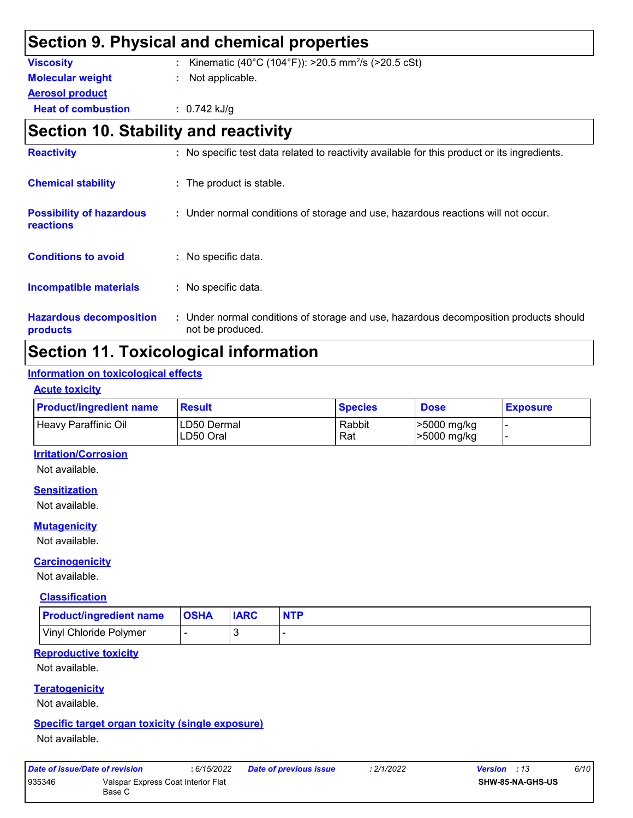### **Section 9. Physical and chemical properties Viscosity** : Kinematic (40°C (104°F)): >20.5 mm<sup>2</sup>/s (>20.5 cSt) **Heat of combustion :** 0.742 kJ/g **Aerosol product Molecular weight :** Not applicable. **Section 10. Stability and reactivity Chemical stability The product is stable. Possibility of hazardous :** Under normal conditions of storage and use, hazardous reactions will not occur. **Reactivity :** No specific test data related to reactivity available for this product or its ingredients.

### **Section 11. Toxicological information**

not be produced.

: No specific data.

: No specific data.

#### **Information on toxicological effects**

**Hazardous decomposition** 

**Conditions to avoid** 

**Incompatible materials :**

#### **Acute toxicity**

**products**

**reactions**

| <b>Product/ingredient name</b> | <b>Result</b>             | <b>Species</b> | <b>Dose</b>               | <b>Exposure</b> |
|--------------------------------|---------------------------|----------------|---------------------------|-----------------|
| <b>Heavy Paraffinic Oil</b>    | ILD50 Dermal<br>LD50 Oral | Rabbit<br>Rat  | >5000 mg/kg<br>5000 mg/kg |                 |

Under normal conditions of storage and use, hazardous decomposition products should **:**

#### **Irritation/Corrosion**

Not available.

#### **Sensitization**

Not available.

#### **Mutagenicity**

Not available.

#### **Carcinogenicity**

Not available.

#### **Classification**

| <b>Product/ingredient name</b> | <b>OSHA</b> | <b>IARC</b> | <b>NTP</b> |
|--------------------------------|-------------|-------------|------------|
| Vinyl Chloride Polymer         |             |             |            |

#### **Reproductive toxicity**

Not available.

#### **Teratogenicity**

Not available.

#### **Specific target organ toxicity (single exposure)**

Not available.

| Date of issue/Date of revision |                                              | : 6/15/2022 | Date of previous issue | : 2/1/2022 | <b>Version</b> : 13     | 6/10 |
|--------------------------------|----------------------------------------------|-------------|------------------------|------------|-------------------------|------|
| 935346                         | Valspar Express Coat Interior Flat<br>Base C |             |                        |            | <b>SHW-85-NA-GHS-US</b> |      |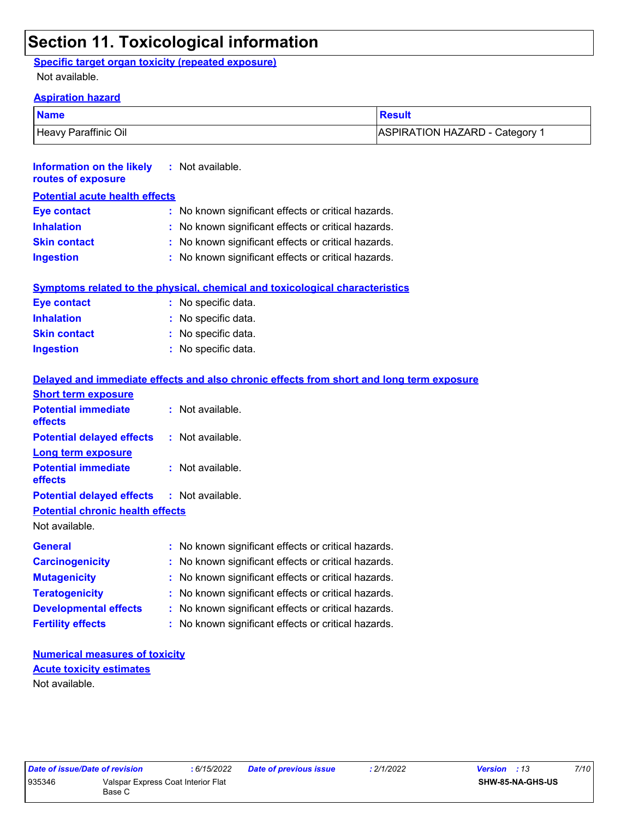### **Section 11. Toxicological information**

**:** Not available.

### **Specific target organ toxicity (repeated exposure)**

Not available.

#### **Aspiration hazard**

**Information on the likely** 

| <b>Name</b>          | Result                       |
|----------------------|------------------------------|
| Heavy Paraffinic Oil | ASPIRATION HAZARD - Category |

| routes of exposure                      |                                                                                          |  |  |  |  |
|-----------------------------------------|------------------------------------------------------------------------------------------|--|--|--|--|
| <b>Potential acute health effects</b>   |                                                                                          |  |  |  |  |
| <b>Eye contact</b>                      | : No known significant effects or critical hazards.                                      |  |  |  |  |
| <b>Inhalation</b>                       | : No known significant effects or critical hazards.                                      |  |  |  |  |
| <b>Skin contact</b>                     | : No known significant effects or critical hazards.                                      |  |  |  |  |
| <b>Ingestion</b>                        | : No known significant effects or critical hazards.                                      |  |  |  |  |
|                                         | Symptoms related to the physical, chemical and toxicological characteristics             |  |  |  |  |
| <b>Eye contact</b>                      | : No specific data.                                                                      |  |  |  |  |
| <b>Inhalation</b>                       | : No specific data.                                                                      |  |  |  |  |
| <b>Skin contact</b>                     | : No specific data.                                                                      |  |  |  |  |
| <b>Ingestion</b>                        | : No specific data.                                                                      |  |  |  |  |
|                                         | Delayed and immediate effects and also chronic effects from short and long term exposure |  |  |  |  |
| <b>Short term exposure</b>              |                                                                                          |  |  |  |  |
| <b>Potential immediate</b><br>effects   | : Not available.                                                                         |  |  |  |  |
| <b>Potential delayed effects</b>        | : Not available.                                                                         |  |  |  |  |
| <b>Long term exposure</b>               |                                                                                          |  |  |  |  |
| <b>Potential immediate</b><br>effects   | : Not available.                                                                         |  |  |  |  |
| <b>Potential delayed effects</b>        | : Not available.                                                                         |  |  |  |  |
| <b>Potential chronic health effects</b> |                                                                                          |  |  |  |  |
| Not available.                          |                                                                                          |  |  |  |  |
| <b>General</b>                          | : No known significant effects or critical hazards.                                      |  |  |  |  |
| <b>Carcinogenicity</b>                  | : No known significant effects or critical hazards.                                      |  |  |  |  |
| <b>Mutagenicity</b>                     | : No known significant effects or critical hazards.                                      |  |  |  |  |
| <b>Teratogenicity</b>                   | : No known significant effects or critical hazards.                                      |  |  |  |  |
| <b>Developmental effects</b>            | : No known significant effects or critical hazards.                                      |  |  |  |  |
| <b>Fertility effects</b>                | : No known significant effects or critical hazards.                                      |  |  |  |  |
|                                         |                                                                                          |  |  |  |  |

#### **Numerical measures of toxicity** Not available. **Acute toxicity estimates**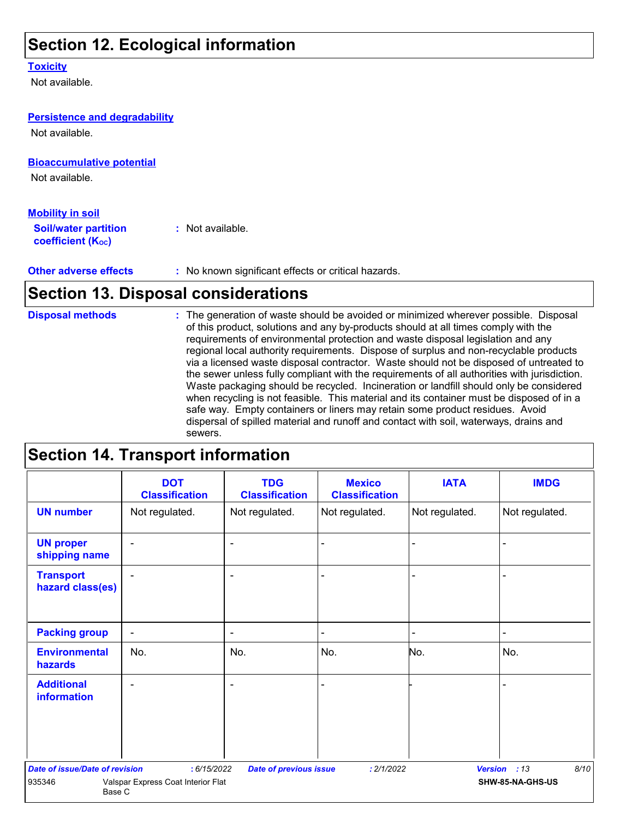### **Section 12. Ecological information**

#### **Toxicity**

Not available.

### **Bioaccumulative potential** Not available. **Persistence and degradability Soil/water partition coefficient (K**<sub>oc</sub>) **:** Not available. **Mobility in soil** Not available.

**Other adverse effects** : No known significant effects or critical hazards.

### **Section 13. Disposal considerations**

**Disposal methods :**

The generation of waste should be avoided or minimized wherever possible. Disposal of this product, solutions and any by-products should at all times comply with the requirements of environmental protection and waste disposal legislation and any regional local authority requirements. Dispose of surplus and non-recyclable products via a licensed waste disposal contractor. Waste should not be disposed of untreated to the sewer unless fully compliant with the requirements of all authorities with jurisdiction. Waste packaging should be recycled. Incineration or landfill should only be considered when recycling is not feasible. This material and its container must be disposed of in a safe way. Empty containers or liners may retain some product residues. Avoid dispersal of spilled material and runoff and contact with soil, waterways, drains and sewers.

### **Section 14. Transport information**

|                                                                                                                                     | <b>DOT</b><br><b>Classification</b> | <b>TDG</b><br><b>Classification</b> | <b>Mexico</b><br><b>Classification</b> | <b>IATA</b>    | <b>IMDG</b>              |
|-------------------------------------------------------------------------------------------------------------------------------------|-------------------------------------|-------------------------------------|----------------------------------------|----------------|--------------------------|
| <b>UN number</b>                                                                                                                    | Not regulated.                      | Not regulated.                      | Not regulated.                         | Not regulated. | Not regulated.           |
| <b>UN proper</b><br>shipping name                                                                                                   | $\blacksquare$                      | $\blacksquare$                      |                                        | ۰              |                          |
| <b>Transport</b><br>hazard class(es)                                                                                                | $\blacksquare$                      | $\blacksquare$                      |                                        | ۰              |                          |
| <b>Packing group</b>                                                                                                                | $\overline{\phantom{a}}$            | $\blacksquare$                      |                                        | $\blacksquare$ | $\overline{\phantom{0}}$ |
| <b>Environmental</b><br>hazards                                                                                                     | No.                                 | No.                                 | No.                                    | No.            | No.                      |
| <b>Additional</b><br><b>information</b>                                                                                             | $\overline{\phantom{0}}$            | $\overline{\phantom{0}}$            |                                        |                |                          |
| <b>Date of issue/Date of revision</b><br><b>Version</b><br>8/10<br>:6/15/2022<br>: 2/1/2022<br>:13<br><b>Date of previous issue</b> |                                     |                                     |                                        |                |                          |
| 935346<br>Base C                                                                                                                    | Valspar Express Coat Interior Flat  |                                     |                                        |                | SHW-85-NA-GHS-US         |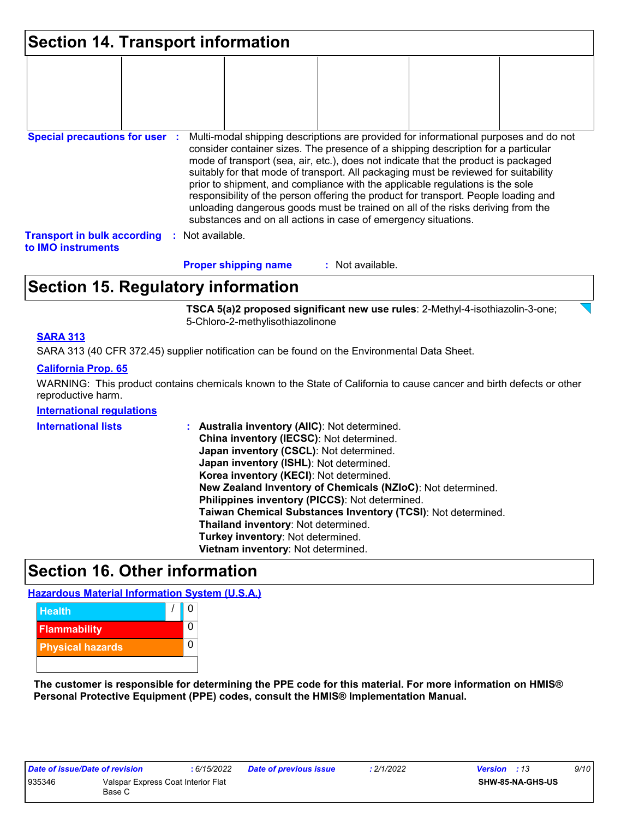| <b>Section 14. Transport information</b>                 |    |                |                                                                |                  |  |                                                                                                                                                                                                                                                                                                                                                                                                                                                                                                                                                                                                                   |  |
|----------------------------------------------------------|----|----------------|----------------------------------------------------------------|------------------|--|-------------------------------------------------------------------------------------------------------------------------------------------------------------------------------------------------------------------------------------------------------------------------------------------------------------------------------------------------------------------------------------------------------------------------------------------------------------------------------------------------------------------------------------------------------------------------------------------------------------------|--|
|                                                          |    |                |                                                                |                  |  |                                                                                                                                                                                                                                                                                                                                                                                                                                                                                                                                                                                                                   |  |
|                                                          |    |                |                                                                |                  |  |                                                                                                                                                                                                                                                                                                                                                                                                                                                                                                                                                                                                                   |  |
| <b>Special precautions for user :</b>                    |    |                | substances and on all actions in case of emergency situations. |                  |  | Multi-modal shipping descriptions are provided for informational purposes and do not<br>consider container sizes. The presence of a shipping description for a particular<br>mode of transport (sea, air, etc.), does not indicate that the product is packaged<br>suitably for that mode of transport. All packaging must be reviewed for suitability<br>prior to shipment, and compliance with the applicable regulations is the sole<br>responsibility of the person offering the product for transport. People loading and<br>unloading dangerous goods must be trained on all of the risks deriving from the |  |
| <b>Transport in bulk according</b><br>to IMO instruments | ÷. | Not available. |                                                                |                  |  |                                                                                                                                                                                                                                                                                                                                                                                                                                                                                                                                                                                                                   |  |
|                                                          |    |                | <b>Proper shipping name</b>                                    | : Not available. |  |                                                                                                                                                                                                                                                                                                                                                                                                                                                                                                                                                                                                                   |  |

### **Section 15. Regulatory information**

**TSCA 5(a)2 proposed significant new use rules**: 2-Methyl-4-isothiazolin-3-one; 5-Chloro-2-methylisothiazolinone

#### **SARA 313**

SARA 313 (40 CFR 372.45) supplier notification can be found on the Environmental Data Sheet.

#### **California Prop. 65**

WARNING: This product contains chemicals known to the State of California to cause cancer and birth defects or other reproductive harm.

#### **International regulations**

| <b>International lists</b> | Australia inventory (AIIC): Not determined.                  |
|----------------------------|--------------------------------------------------------------|
|                            | China inventory (IECSC): Not determined.                     |
|                            | Japan inventory (CSCL): Not determined.                      |
|                            | Japan inventory (ISHL): Not determined.                      |
|                            | Korea inventory (KECI): Not determined.                      |
|                            | New Zealand Inventory of Chemicals (NZIoC): Not determined.  |
|                            | Philippines inventory (PICCS): Not determined.               |
|                            | Taiwan Chemical Substances Inventory (TCSI): Not determined. |
|                            | Thailand inventory: Not determined.                          |
|                            | Turkey inventory: Not determined.                            |
|                            | Vietnam inventory: Not determined.                           |

### **Section 16. Other information**

**Hazardous Material Information System (U.S.A.)**



**The customer is responsible for determining the PPE code for this material. For more information on HMIS® Personal Protective Equipment (PPE) codes, consult the HMIS® Implementation Manual.**

| Date of issue/Date of revision |                                    | : 6/15/2022 | <b>Date of previous issue</b> | 2/1/2022 | <b>Version</b> : 13 |                  | 9/10 |  |
|--------------------------------|------------------------------------|-------------|-------------------------------|----------|---------------------|------------------|------|--|
| 935346                         | Valspar Express Coat Interior Flat |             |                               |          |                     | SHW-85-NA-GHS-US |      |  |
|                                | Base C                             |             |                               |          |                     |                  |      |  |